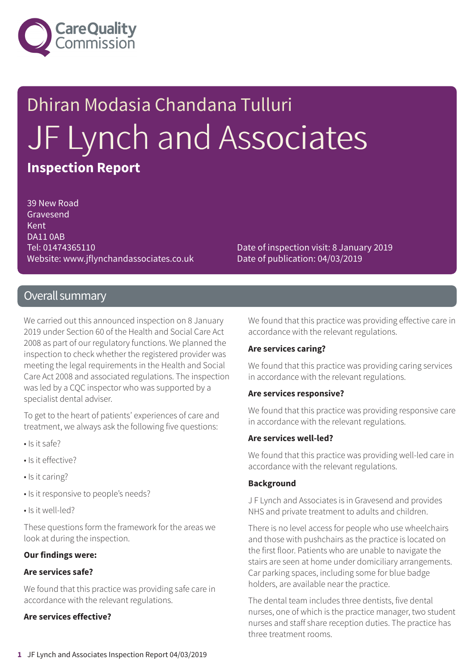

# Dhiran Modasia Chandana Tulluri JF Lynch and Associates **Inspection Report**

39 New Road Gravesend Kent DA11 0AB Tel: 01474365110 Website: www.jflynchandassociates.co.uk

Date of inspection visit: 8 January 2019 Date of publication: 04/03/2019

### Overall summary

We carried out this announced inspection on 8 January 2019 under Section 60 of the Health and Social Care Act 2008 as part of our regulatory functions. We planned the inspection to check whether the registered provider was meeting the legal requirements in the Health and Social Care Act 2008 and associated regulations. The inspection was led by a CQC inspector who was supported by a specialist dental adviser.

To get to the heart of patients' experiences of care and treatment, we always ask the following five questions:

- Is it safe?
- Is it effective?
- Is it caring?
- Is it responsive to people's needs?
- Is it well-led?

These questions form the framework for the areas we look at during the inspection.

#### **Our findings were:**

#### **Are services safe?**

We found that this practice was providing safe care in accordance with the relevant regulations.

#### **Are services effective?**

We found that this practice was providing effective care in accordance with the relevant regulations.

#### **Are services caring?**

We found that this practice was providing caring services in accordance with the relevant regulations.

#### **Are services responsive?**

We found that this practice was providing responsive care in accordance with the relevant regulations.

#### **Are services well-led?**

We found that this practice was providing well-led care in accordance with the relevant regulations.

#### **Background**

J F Lynch and Associates is in Gravesend and provides NHS and private treatment to adults and children.

There is no level access for people who use wheelchairs and those with pushchairs as the practice is located on the first floor. Patients who are unable to navigate the stairs are seen at home under domiciliary arrangements. Car parking spaces, including some for blue badge holders, are available near the practice.

The dental team includes three dentists, five dental nurses, one of which is the practice manager, two student nurses and staff share reception duties. The practice has three treatment rooms.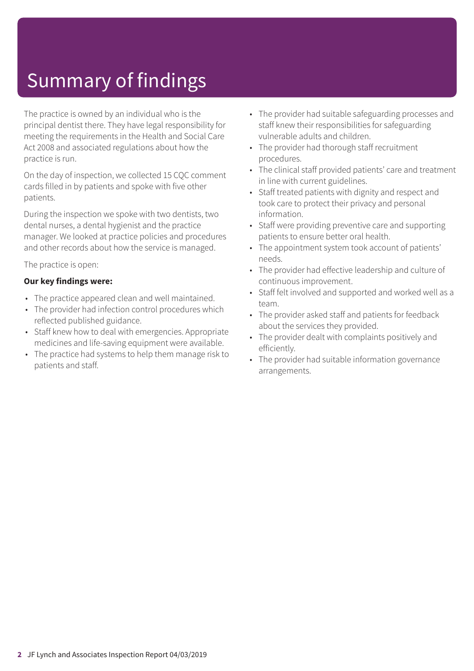## Summary of findings

The practice is owned by an individual who is the principal dentist there. They have legal responsibility for meeting the requirements in the Health and Social Care Act 2008 and associated regulations about how the practice is run.

On the day of inspection, we collected 15 CQC comment cards filled in by patients and spoke with five other patients.

During the inspection we spoke with two dentists, two dental nurses, a dental hygienist and the practice manager. We looked at practice policies and procedures and other records about how the service is managed.

The practice is open:

#### **Our key findings were:**

- The practice appeared clean and well maintained.
- The provider had infection control procedures which reflected published guidance.
- Staff knew how to deal with emergencies. Appropriate medicines and life-saving equipment were available.
- The practice had systems to help them manage risk to patients and staff.
- The provider had suitable safeguarding processes and staff knew their responsibilities for safeguarding vulnerable adults and children.
- The provider had thorough staff recruitment procedures.
- The clinical staff provided patients' care and treatment in line with current guidelines.
- Staff treated patients with dignity and respect and took care to protect their privacy and personal information.
- Staff were providing preventive care and supporting patients to ensure better oral health.
- The appointment system took account of patients' needs.
- The provider had effective leadership and culture of continuous improvement.
- Staff felt involved and supported and worked well as a team.
- The provider asked staff and patients for feedback about the services they provided.
- The provider dealt with complaints positively and efficiently.
- The provider had suitable information governance arrangements.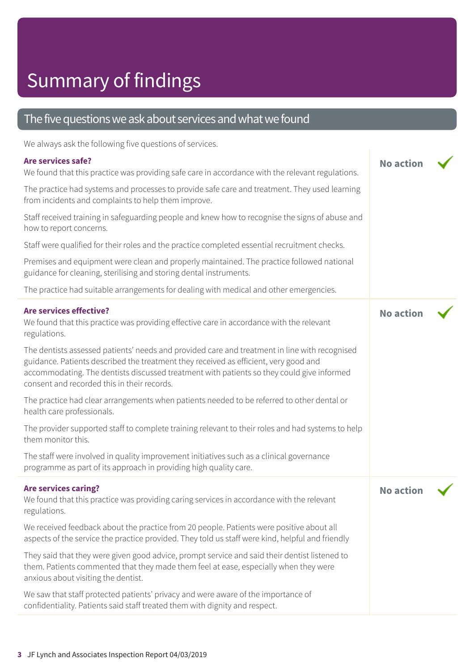### Summary of findings

### The five questions we ask about services and what we found

We always ask the following five questions of services.

#### **Are services safe?**

| We always ask the following five questions of services.                                                                                                                                                                                                                                                                           |                  |  |
|-----------------------------------------------------------------------------------------------------------------------------------------------------------------------------------------------------------------------------------------------------------------------------------------------------------------------------------|------------------|--|
| Are services safe?<br>We found that this practice was providing safe care in accordance with the relevant regulations.                                                                                                                                                                                                            | <b>No action</b> |  |
| The practice had systems and processes to provide safe care and treatment. They used learning<br>from incidents and complaints to help them improve.                                                                                                                                                                              |                  |  |
| Staff received training in safeguarding people and knew how to recognise the signs of abuse and<br>how to report concerns.                                                                                                                                                                                                        |                  |  |
| Staff were qualified for their roles and the practice completed essential recruitment checks.                                                                                                                                                                                                                                     |                  |  |
| Premises and equipment were clean and properly maintained. The practice followed national<br>guidance for cleaning, sterilising and storing dental instruments.                                                                                                                                                                   |                  |  |
| The practice had suitable arrangements for dealing with medical and other emergencies.                                                                                                                                                                                                                                            |                  |  |
| <b>Are services effective?</b><br>We found that this practice was providing effective care in accordance with the relevant<br>regulations.                                                                                                                                                                                        | <b>No action</b> |  |
| The dentists assessed patients' needs and provided care and treatment in line with recognised<br>guidance. Patients described the treatment they received as efficient, very good and<br>accommodating. The dentists discussed treatment with patients so they could give informed<br>consent and recorded this in their records. |                  |  |
| The practice had clear arrangements when patients needed to be referred to other dental or<br>health care professionals.                                                                                                                                                                                                          |                  |  |
| The provider supported staff to complete training relevant to their roles and had systems to help<br>them monitor this.                                                                                                                                                                                                           |                  |  |
| The staff were involved in quality improvement initiatives such as a clinical governance<br>programme as part of its approach in providing high quality care.                                                                                                                                                                     |                  |  |
| <b>Are services caring?</b><br>We found that this practice was providing caring services in accordance with the relevant<br>regulations.                                                                                                                                                                                          | <b>No action</b> |  |
| We received feedback about the practice from 20 people. Patients were positive about all<br>aspects of the service the practice provided. They told us staff were kind, helpful and friendly                                                                                                                                      |                  |  |
| They said that they were given good advice, prompt service and said their dentist listened to<br>them. Patients commented that they made them feel at ease, especially when they were<br>anxious about visiting the dentist.                                                                                                      |                  |  |
| We saw that staff protected patients' privacy and were aware of the importance of<br>confidentiality. Patients said staff treated them with dignity and respect.                                                                                                                                                                  |                  |  |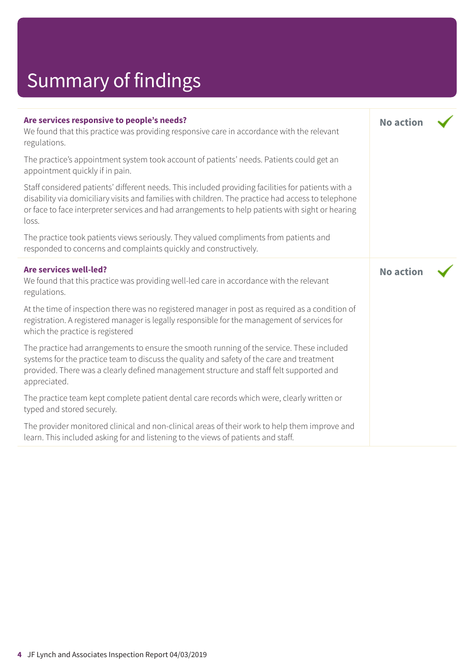# Summary of findings

| Are services responsive to people's needs?<br>We found that this practice was providing responsive care in accordance with the relevant<br>regulations.                                                                                                                                                               | <b>No action</b> |  |
|-----------------------------------------------------------------------------------------------------------------------------------------------------------------------------------------------------------------------------------------------------------------------------------------------------------------------|------------------|--|
| The practice's appointment system took account of patients' needs. Patients could get an<br>appointment quickly if in pain.                                                                                                                                                                                           |                  |  |
| Staff considered patients' different needs. This included providing facilities for patients with a<br>disability via domiciliary visits and families with children. The practice had access to telephone<br>or face to face interpreter services and had arrangements to help patients with sight or hearing<br>loss. |                  |  |
| The practice took patients views seriously. They valued compliments from patients and<br>responded to concerns and complaints quickly and constructively.                                                                                                                                                             |                  |  |
| <b>Are services well-led?</b><br>We found that this practice was providing well-led care in accordance with the relevant<br>regulations.                                                                                                                                                                              | <b>No action</b> |  |
| At the time of inspection there was no registered manager in post as required as a condition of<br>registration. A registered manager is legally responsible for the management of services for<br>which the practice is registered                                                                                   |                  |  |
| The practice had arrangements to ensure the smooth running of the service. These included<br>systems for the practice team to discuss the quality and safety of the care and treatment<br>provided. There was a clearly defined management structure and staff felt supported and<br>appreciated.                     |                  |  |
| The practice team kept complete patient dental care records which were, clearly written or<br>typed and stored securely.                                                                                                                                                                                              |                  |  |
| The provider monitored clinical and non-clinical areas of their work to help them improve and<br>learn. This included asking for and listening to the views of patients and staff.                                                                                                                                    |                  |  |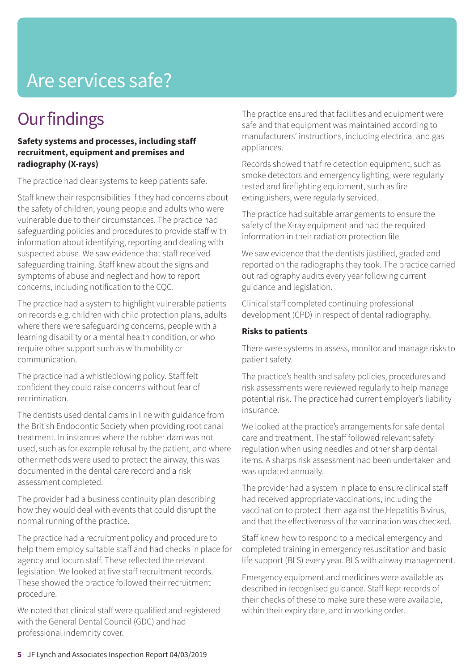### Are services safe?

### **Our findings**

#### **Safety systems and processes, including staff recruitment, equipment and premises and radiography (X-rays)**

The practice had clear systems to keep patients safe.

Staff knew their responsibilities if they had concerns about the safety of children, young people and adults who were vulnerable due to their circumstances. The practice had safeguarding policies and procedures to provide staff with information about identifying, reporting and dealing with suspected abuse. We saw evidence that staff received safeguarding training. Staff knew about the signs and symptoms of abuse and neglect and how to report concerns, including notification to the CQC.

The practice had a system to highlight vulnerable patients on records e.g. children with child protection plans, adults where there were safeguarding concerns, people with a learning disability or a mental health condition, or who require other support such as with mobility or communication.

The practice had a whistleblowing policy. Staff felt confident they could raise concerns without fear of recrimination.

The dentists used dental dams in line with guidance from the British Endodontic Society when providing root canal treatment. In instances where the rubber dam was not used, such as for example refusal by the patient, and where other methods were used to protect the airway, this was documented in the dental care record and a risk assessment completed.

The provider had a business continuity plan describing how they would deal with events that could disrupt the normal running of the practice.

The practice had a recruitment policy and procedure to help them employ suitable staff and had checks in place for agency and locum staff. These reflected the relevant legislation. We looked at five staff recruitment records. These showed the practice followed their recruitment procedure.

We noted that clinical staff were qualified and registered with the General Dental Council (GDC) and had professional indemnity cover.

The practice ensured that facilities and equipment were safe and that equipment was maintained according to manufacturers' instructions, including electrical and gas appliances.

Records showed that fire detection equipment, such as smoke detectors and emergency lighting, were regularly tested and firefighting equipment, such as fire extinguishers, were regularly serviced.

The practice had suitable arrangements to ensure the safety of the X-ray equipment and had the required information in their radiation protection file.

We saw evidence that the dentists justified, graded and reported on the radiographs they took. The practice carried out radiography audits every year following current guidance and legislation.

Clinical staff completed continuing professional development (CPD) in respect of dental radiography.

#### **Risks to patients**

There were systems to assess, monitor and manage risks to patient safety.

The practice's health and safety policies, procedures and risk assessments were reviewed regularly to help manage potential risk. The practice had current employer's liability insurance.

We looked at the practice's arrangements for safe dental care and treatment. The staff followed relevant safety regulation when using needles and other sharp dental items. A sharps risk assessment had been undertaken and was updated annually.

The provider had a system in place to ensure clinical staff had received appropriate vaccinations, including the vaccination to protect them against the Hepatitis B virus, and that the effectiveness of the vaccination was checked.

Staff knew how to respond to a medical emergency and completed training in emergency resuscitation and basic life support (BLS) every year. BLS with airway management.

Emergency equipment and medicines were available as described in recognised guidance. Staff kept records of their checks of these to make sure these were available, within their expiry date, and in working order.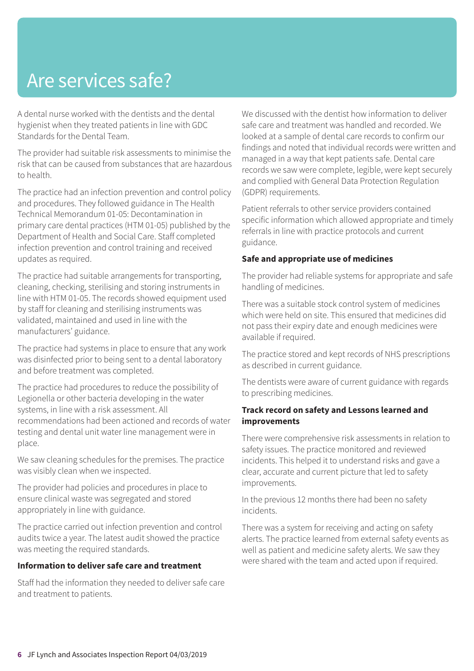### Are services safe?

A dental nurse worked with the dentists and the dental hygienist when they treated patients in line with GDC Standards for the Dental Team.

The provider had suitable risk assessments to minimise the risk that can be caused from substances that are hazardous to health.

The practice had an infection prevention and control policy and procedures. They followed guidance in The Health Technical Memorandum 01-05: Decontamination in primary care dental practices (HTM 01-05) published by the Department of Health and Social Care. Staff completed infection prevention and control training and received updates as required.

The practice had suitable arrangements for transporting, cleaning, checking, sterilising and storing instruments in line with HTM 01-05. The records showed equipment used by staff for cleaning and sterilising instruments was validated, maintained and used in line with the manufacturers' guidance.

The practice had systems in place to ensure that any work was disinfected prior to being sent to a dental laboratory and before treatment was completed.

The practice had procedures to reduce the possibility of Legionella or other bacteria developing in the water systems, in line with a risk assessment. All recommendations had been actioned and records of water testing and dental unit water line management were in place.

We saw cleaning schedules for the premises. The practice was visibly clean when we inspected.

The provider had policies and procedures in place to ensure clinical waste was segregated and stored appropriately in line with guidance.

The practice carried out infection prevention and control audits twice a year. The latest audit showed the practice was meeting the required standards.

#### **Information to deliver safe care and treatment**

Staff had the information they needed to deliver safe care and treatment to patients.

We discussed with the dentist how information to deliver safe care and treatment was handled and recorded. We looked at a sample of dental care records to confirm our findings and noted that individual records were written and managed in a way that kept patients safe. Dental care records we saw were complete, legible, were kept securely and complied with General Data Protection Regulation (GDPR) requirements.

Patient referrals to other service providers contained specific information which allowed appropriate and timely referrals in line with practice protocols and current guidance.

#### **Safe and appropriate use of medicines**

The provider had reliable systems for appropriate and safe handling of medicines.

There was a suitable stock control system of medicines which were held on site. This ensured that medicines did not pass their expiry date and enough medicines were available if required.

The practice stored and kept records of NHS prescriptions as described in current guidance.

The dentists were aware of current guidance with regards to prescribing medicines.

#### **Track record on safety and Lessons learned and improvements**

There were comprehensive risk assessments in relation to safety issues. The practice monitored and reviewed incidents. This helped it to understand risks and gave a clear, accurate and current picture that led to safety improvements.

In the previous 12 months there had been no safety incidents.

There was a system for receiving and acting on safety alerts. The practice learned from external safety events as well as patient and medicine safety alerts. We saw they were shared with the team and acted upon if required.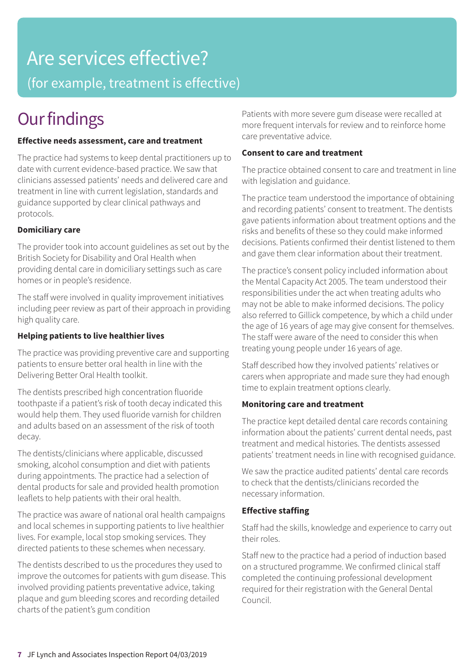# Are services effective?

(for example, treatment is effective)

### **Our findings**

#### **Effective needs assessment, care and treatment**

The practice had systems to keep dental practitioners up to date with current evidence-based practice. We saw that clinicians assessed patients' needs and delivered care and treatment in line with current legislation, standards and guidance supported by clear clinical pathways and protocols.

#### **Domiciliary care**

The provider took into account guidelines as set out by the British Society for Disability and Oral Health when providing dental care in domiciliary settings such as care homes or in people's residence.

The staff were involved in quality improvement initiatives including peer review as part of their approach in providing high quality care.

#### **Helping patients to live healthier lives**

The practice was providing preventive care and supporting patients to ensure better oral health in line with the Delivering Better Oral Health toolkit.

The dentists prescribed high concentration fluoride toothpaste if a patient's risk of tooth decay indicated this would help them. They used fluoride varnish for children and adults based on an assessment of the risk of tooth decay.

The dentists/clinicians where applicable, discussed smoking, alcohol consumption and diet with patients during appointments. The practice had a selection of dental products for sale and provided health promotion leaflets to help patients with their oral health.

The practice was aware of national oral health campaigns and local schemes in supporting patients to live healthier lives. For example, local stop smoking services. They directed patients to these schemes when necessary.

The dentists described to us the procedures they used to improve the outcomes for patients with gum disease. This involved providing patients preventative advice, taking plaque and gum bleeding scores and recording detailed charts of the patient's gum condition

Patients with more severe gum disease were recalled at more frequent intervals for review and to reinforce home care preventative advice.

#### **Consent to care and treatment**

The practice obtained consent to care and treatment in line with legislation and guidance.

The practice team understood the importance of obtaining and recording patients' consent to treatment. The dentists gave patients information about treatment options and the risks and benefits of these so they could make informed decisions. Patients confirmed their dentist listened to them and gave them clear information about their treatment.

The practice's consent policy included information about the Mental Capacity Act 2005. The team understood their responsibilities under the act when treating adults who may not be able to make informed decisions. The policy also referred to Gillick competence, by which a child under the age of 16 years of age may give consent for themselves. The staff were aware of the need to consider this when treating young people under 16 years of age.

Staff described how they involved patients' relatives or carers when appropriate and made sure they had enough time to explain treatment options clearly.

#### **Monitoring care and treatment**

The practice kept detailed dental care records containing information about the patients' current dental needs, past treatment and medical histories. The dentists assessed patients' treatment needs in line with recognised guidance.

We saw the practice audited patients' dental care records to check that the dentists/clinicians recorded the necessary information.

#### **Effective staffing**

Staff had the skills, knowledge and experience to carry out their roles.

Staff new to the practice had a period of induction based on a structured programme. We confirmed clinical staff completed the continuing professional development required for their registration with the General Dental Council.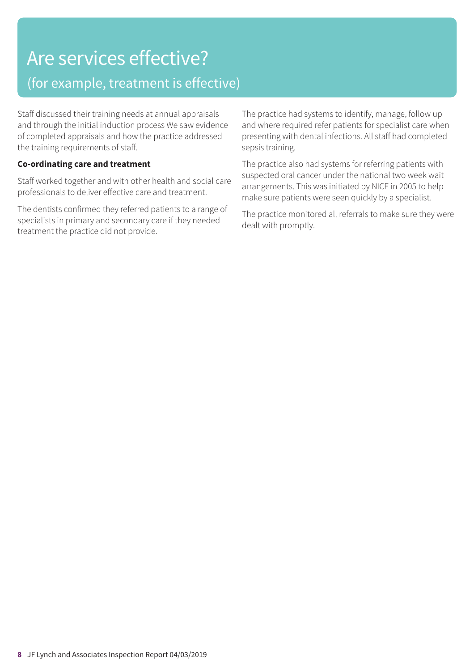### Are services effective? (for example, treatment is effective)

Staff discussed their training needs at annual appraisals and through the initial induction process We saw evidence of completed appraisals and how the practice addressed the training requirements of staff.

#### **Co-ordinating care and treatment**

Staff worked together and with other health and social care professionals to deliver effective care and treatment.

The dentists confirmed they referred patients to a range of specialists in primary and secondary care if they needed treatment the practice did not provide.

The practice had systems to identify, manage, follow up and where required refer patients for specialist care when presenting with dental infections. All staff had completed sepsis training.

The practice also had systems for referring patients with suspected oral cancer under the national two week wait arrangements. This was initiated by NICE in 2005 to help make sure patients were seen quickly by a specialist.

The practice monitored all referrals to make sure they were dealt with promptly.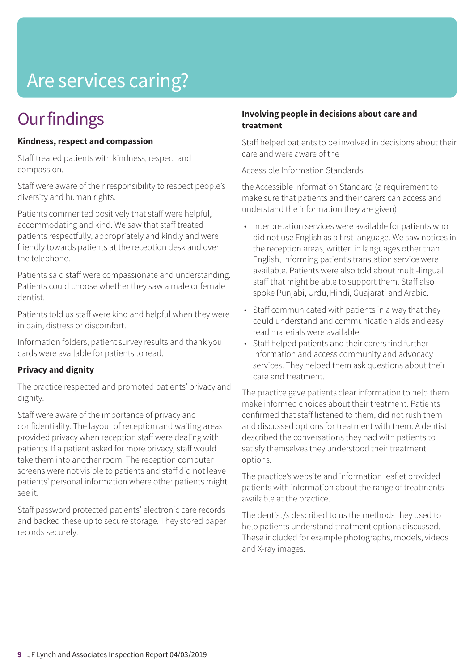## Are services caring?

### **Our findings**

#### **Kindness, respect and compassion**

Staff treated patients with kindness, respect and compassion.

Staff were aware of their responsibility to respect people's diversity and human rights.

Patients commented positively that staff were helpful, accommodating and kind. We saw that staff treated patients respectfully, appropriately and kindly and were friendly towards patients at the reception desk and over the telephone.

Patients said staff were compassionate and understanding. Patients could choose whether they saw a male or female dentist.

Patients told us staff were kind and helpful when they were in pain, distress or discomfort.

Information folders, patient survey results and thank you cards were available for patients to read.

#### **Privacy and dignity**

The practice respected and promoted patients' privacy and dignity.

Staff were aware of the importance of privacy and confidentiality. The layout of reception and waiting areas provided privacy when reception staff were dealing with patients. If a patient asked for more privacy, staff would take them into another room. The reception computer screens were not visible to patients and staff did not leave patients' personal information where other patients might see it.

Staff password protected patients' electronic care records and backed these up to secure storage. They stored paper records securely.

#### **Involving people in decisions about care and treatment**

Staff helped patients to be involved in decisions about their care and were aware of the

Accessible Information Standards

the Accessible Information Standard (a requirement to make sure that patients and their carers can access and understand the information they are given):

- Interpretation services were available for patients who did not use English as a first language. We saw notices in the reception areas, written in languages other than English, informing patient's translation service were available. Patients were also told about multi-lingual staff that might be able to support them. Staff also spoke Punjabi, Urdu, Hindi, Guajarati and Arabic.
- Staff communicated with patients in a way that they could understand and communication aids and easy read materials were available.
- Staff helped patients and their carers find further information and access community and advocacy services. They helped them ask questions about their care and treatment.

The practice gave patients clear information to help them make informed choices about their treatment. Patients confirmed that staff listened to them, did not rush them and discussed options for treatment with them. A dentist described the conversations they had with patients to satisfy themselves they understood their treatment options.

The practice's website and information leaflet provided patients with information about the range of treatments available at the practice.

The dentist/s described to us the methods they used to help patients understand treatment options discussed. These included for example photographs, models, videos and X-ray images.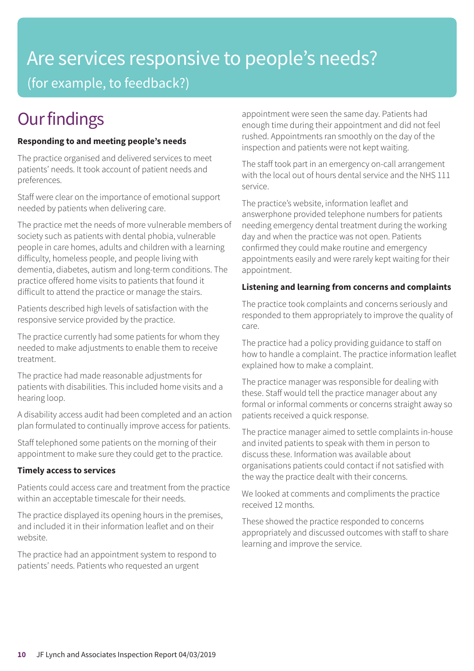### Are services responsive to people's needs? (for example, to feedback?)

### **Our findings**

#### **Responding to and meeting people's needs**

The practice organised and delivered services to meet patients' needs. It took account of patient needs and preferences.

Staff were clear on the importance of emotional support needed by patients when delivering care.

The practice met the needs of more vulnerable members of society such as patients with dental phobia, vulnerable people in care homes, adults and children with a learning difficulty, homeless people, and people living with dementia, diabetes, autism and long-term conditions. The practice offered home visits to patients that found it difficult to attend the practice or manage the stairs.

Patients described high levels of satisfaction with the responsive service provided by the practice.

The practice currently had some patients for whom they needed to make adjustments to enable them to receive treatment.

The practice had made reasonable adjustments for patients with disabilities. This included home visits and a hearing loop.

A disability access audit had been completed and an action plan formulated to continually improve access for patients.

Staff telephoned some patients on the morning of their appointment to make sure they could get to the practice.

#### **Timely access to services**

Patients could access care and treatment from the practice within an acceptable timescale for their needs.

The practice displayed its opening hours in the premises, and included it in their information leaflet and on their website.

The practice had an appointment system to respond to patients' needs. Patients who requested an urgent

appointment were seen the same day. Patients had enough time during their appointment and did not feel rushed. Appointments ran smoothly on the day of the inspection and patients were not kept waiting.

The staff took part in an emergency on-call arrangement with the local out of hours dental service and the NHS 111 service.

The practice's website, information leaflet and answerphone provided telephone numbers for patients needing emergency dental treatment during the working day and when the practice was not open. Patients confirmed they could make routine and emergency appointments easily and were rarely kept waiting for their appointment.

#### **Listening and learning from concerns and complaints**

The practice took complaints and concerns seriously and responded to them appropriately to improve the quality of care.

The practice had a policy providing guidance to staff on how to handle a complaint. The practice information leaflet explained how to make a complaint.

The practice manager was responsible for dealing with these. Staff would tell the practice manager about any formal or informal comments or concerns straight away so patients received a quick response.

The practice manager aimed to settle complaints in-house and invited patients to speak with them in person to discuss these. Information was available about organisations patients could contact if not satisfied with the way the practice dealt with their concerns.

We looked at comments and compliments the practice received 12 months.

These showed the practice responded to concerns appropriately and discussed outcomes with staff to share learning and improve the service.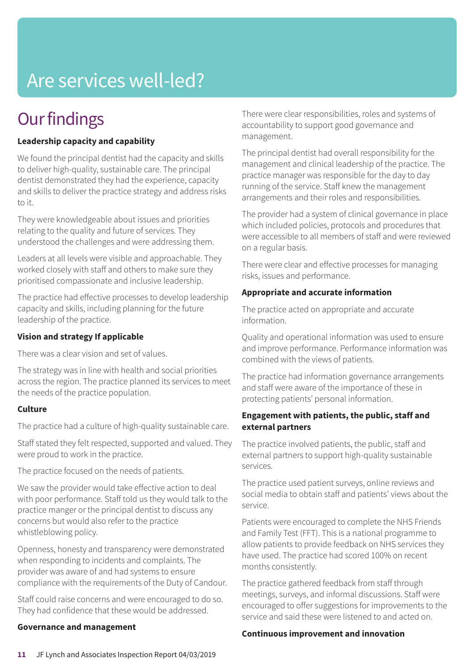### Are services well-led?

### **Our findings**

#### **Leadership capacity and capability**

We found the principal dentist had the capacity and skills to deliver high-quality, sustainable care. The principal dentist demonstrated they had the experience, capacity and skills to deliver the practice strategy and address risks to it.

They were knowledgeable about issues and priorities relating to the quality and future of services. They understood the challenges and were addressing them.

Leaders at all levels were visible and approachable. They worked closely with staff and others to make sure they prioritised compassionate and inclusive leadership.

The practice had effective processes to develop leadership capacity and skills, including planning for the future leadership of the practice.

#### **Vision and strategy If applicable**

There was a clear vision and set of values.

The strategy was in line with health and social priorities across the region. The practice planned its services to meet the needs of the practice population.

#### **Culture**

The practice had a culture of high-quality sustainable care.

Staff stated they felt respected, supported and valued. They were proud to work in the practice.

The practice focused on the needs of patients.

We saw the provider would take effective action to deal with poor performance. Staff told us they would talk to the practice manger or the principal dentist to discuss any concerns but would also refer to the practice whistleblowing policy.

Openness, honesty and transparency were demonstrated when responding to incidents and complaints. The provider was aware of and had systems to ensure compliance with the requirements of the Duty of Candour.

Staff could raise concerns and were encouraged to do so. They had confidence that these would be addressed.

#### **Governance and management**

There were clear responsibilities, roles and systems of accountability to support good governance and management.

The principal dentist had overall responsibility for the management and clinical leadership of the practice. The practice manager was responsible for the day to day running of the service. Staff knew the management arrangements and their roles and responsibilities.

The provider had a system of clinical governance in place which included policies, protocols and procedures that were accessible to all members of staff and were reviewed on a regular basis.

There were clear and effective processes for managing risks, issues and performance.

#### **Appropriate and accurate information**

The practice acted on appropriate and accurate information.

Quality and operational information was used to ensure and improve performance. Performance information was combined with the views of patients.

The practice had information governance arrangements and staff were aware of the importance of these in protecting patients' personal information.

#### **Engagement with patients, the public, staff and external partners**

The practice involved patients, the public, staff and external partners to support high-quality sustainable services.

The practice used patient surveys, online reviews and social media to obtain staff and patients' views about the service.

Patients were encouraged to complete the NHS Friends and Family Test (FFT). This is a national programme to allow patients to provide feedback on NHS services they have used. The practice had scored 100% on recent months consistently.

The practice gathered feedback from staff through meetings, surveys, and informal discussions. Staff were encouraged to offer suggestions for improvements to the service and said these were listened to and acted on.

#### **Continuous improvement and innovation**